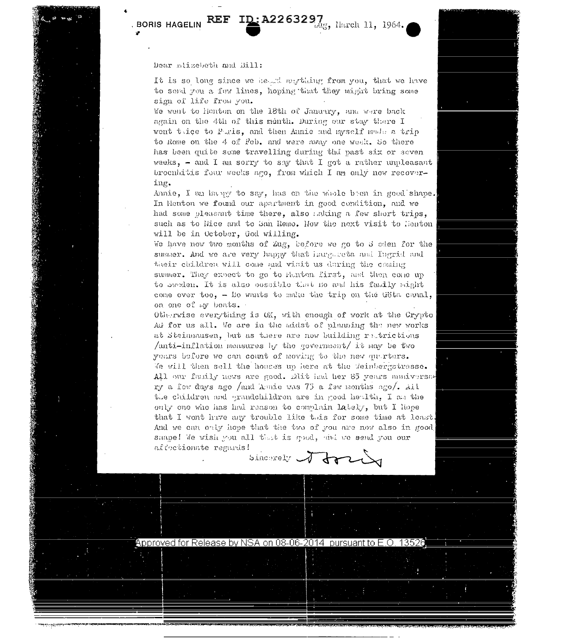## REF ID: A2263297, Harch 11, 1964.

**BORIS HAGELIN** 

## Dear minsebeth and Bill:

It is so long since we held agothing from you, that we have to send you a few lines, hoping that they might bring some sign of life from you.

We went to henton on the 18th of January, and were back again on the 4th of this month. During our stay there I went trice to Puris, and then Annie and myself mode a trip to Rome on the 4 of Feb. and were away one week. So there has been quite some travelling during thd past six or seven weeks, - and I am sorry to say that I got a rather unpleasant broculations four weeks ago, from which I am only now recovering.

Annie, I am havey to say, has on the whole been in good shape. In Henton we found our apartment in good condition, and we had some pleasant time there, also adding a few short trips, such as to line and to San Remo. How the next visit to Henton will be in October, God willing.

We have now two months of Zug, before we go to S eden for the summer. And we are very happy that innythets and Ingrid and their children will come and visit us during the coming summer. They expect to go to Henton first, and then come up to sweden. It is also ooscible that no and his family might come over too, - Bo wants to make the trip on the Göta canal, on one of my boats.

Otherwise everything is OK, with enough of work at the Crypto Ad for us all. We are in the midst of planning the new works at Steinmausen, but as there are now building retrictions /anti-inflation measures by the government/ it may be two years before we can count of moving to the new quarters. We will then sell the houses up here at the Weinbergstrasse. All our fauily news are good. Elit had her 85 years anniversery a few days ago /and Amie was 75 a few months  $n<sub>5</sub>$ , Ail the children and grandchildren are in good health. I am the only one who has had reason to complain lately, but I hope that I wont have any trouble like this for some time at least. And we can only hope that the two of you are now also in good shape! We wish you all that is good, and we send you our affectionate regards!

Sincerely 1 for

Approved for Release by NSA on 08-06-2014 pursuant to E.O. 13526